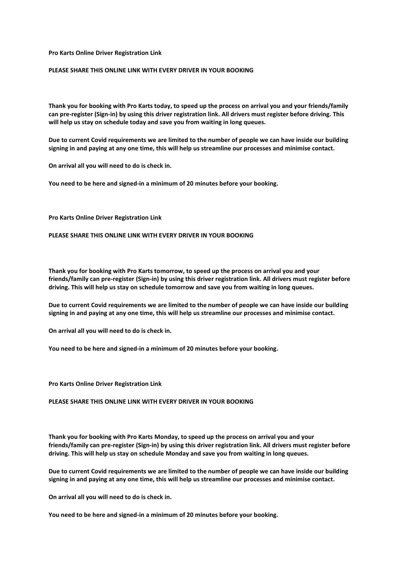#### **Pro Karts Online Driver Registration Link**

## **PLEASE SHARE THIS ONLINE LINK WITH EVERY DRIVER IN YOUR BOOKING**

**Thank you for booking with Pro Karts today, to speed up the process on arrival you and your friends/family can pre-register (Sign-in) by using this driver registration link. All drivers must register before driving. This will help us stay on schedule today and save you from waiting in long queues.** 

**Due to current Covid requirements we are limited to the number of people we can have inside our building signing in and paying at any one time, this will help us streamline our processes and minimise contact.** 

**On arrival all you will need to do is check in.**

**You need to be here and signed-in a minimum of 20 minutes before your booking.**

**Pro Karts Online Driver Registration Link**

**PLEASE SHARE THIS ONLINE LINK WITH EVERY DRIVER IN YOUR BOOKING**

**Thank you for booking with Pro Karts tomorrow, to speed up the process on arrival you and your friends/family can pre-register (Sign-in) by using this driver registration link. All drivers must register before driving. This will help us stay on schedule tomorrow and save you from waiting in long queues.** 

**Due to current Covid requirements we are limited to the number of people we can have inside our building signing in and paying at any one time, this will help us streamline our processes and minimise contact.** 

**On arrival all you will need to do is check in.**

**You need to be here and signed-in a minimum of 20 minutes before your booking.**

**Pro Karts Online Driver Registration Link**

**PLEASE SHARE THIS ONLINE LINK WITH EVERY DRIVER IN YOUR BOOKING**

**Thank you for booking with Pro Karts Monday, to speed up the process on arrival you and your friends/family can pre-register (Sign-in) by using this driver registration link. All drivers must register before driving. This will help us stay on schedule Monday and save you from waiting in long queues.** 

**Due to current Covid requirements we are limited to the number of people we can have inside our building signing in and paying at any one time, this will help us streamline our processes and minimise contact.** 

**On arrival all you will need to do is check in.**

**You need to be here and signed-in a minimum of 20 minutes before your booking.**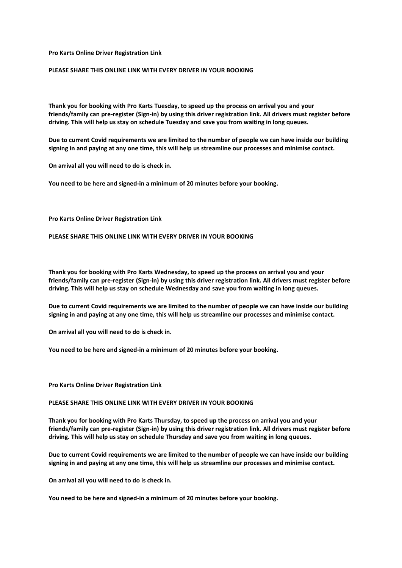#### **Pro Karts Online Driver Registration Link**

## **PLEASE SHARE THIS ONLINE LINK WITH EVERY DRIVER IN YOUR BOOKING**

**Thank you for booking with Pro Karts Tuesday, to speed up the process on arrival you and your friends/family can pre-register (Sign-in) by using this driver registration link. All drivers must register before driving. This will help us stay on schedule Tuesday and save you from waiting in long queues.** 

**Due to current Covid requirements we are limited to the number of people we can have inside our building signing in and paying at any one time, this will help us streamline our processes and minimise contact.** 

**On arrival all you will need to do is check in.**

**You need to be here and signed-in a minimum of 20 minutes before your booking.**

#### **Pro Karts Online Driver Registration Link**

#### **PLEASE SHARE THIS ONLINE LINK WITH EVERY DRIVER IN YOUR BOOKING**

**Thank you for booking with Pro Karts Wednesday, to speed up the process on arrival you and your friends/family can pre-register (Sign-in) by using this driver registration link. All drivers must register before driving. This will help us stay on schedule Wednesday and save you from waiting in long queues.** 

**Due to current Covid requirements we are limited to the number of people we can have inside our building signing in and paying at any one time, this will help us streamline our processes and minimise contact.** 

**On arrival all you will need to do is check in.**

**You need to be here and signed-in a minimum of 20 minutes before your booking.**

## **Pro Karts Online Driver Registration Link**

#### **PLEASE SHARE THIS ONLINE LINK WITH EVERY DRIVER IN YOUR BOOKING**

**Thank you for booking with Pro Karts Thursday, to speed up the process on arrival you and your friends/family can pre-register (Sign-in) by using this driver registration link. All drivers must register before driving. This will help us stay on schedule Thursday and save you from waiting in long queues.** 

**Due to current Covid requirements we are limited to the number of people we can have inside our building signing in and paying at any one time, this will help us streamline our processes and minimise contact.** 

**On arrival all you will need to do is check in.**

**You need to be here and signed-in a minimum of 20 minutes before your booking.**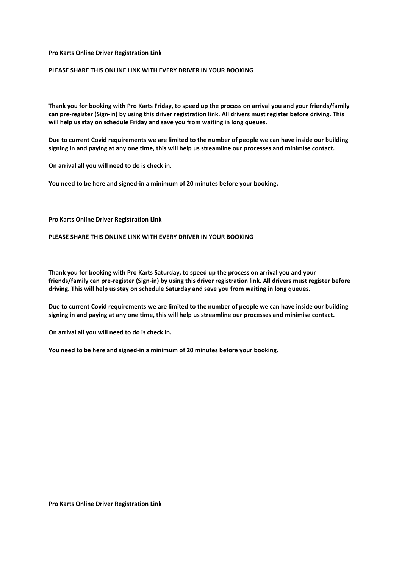#### **Pro Karts Online Driver Registration Link**

## **PLEASE SHARE THIS ONLINE LINK WITH EVERY DRIVER IN YOUR BOOKING**

**Thank you for booking with Pro Karts Friday, to speed up the process on arrival you and your friends/family can pre-register (Sign-in) by using this driver registration link. All drivers must register before driving. This will help us stay on schedule Friday and save you from waiting in long queues.** 

**Due to current Covid requirements we are limited to the number of people we can have inside our building signing in and paying at any one time, this will help us streamline our processes and minimise contact.** 

**On arrival all you will need to do is check in.**

**You need to be here and signed-in a minimum of 20 minutes before your booking.**

**Pro Karts Online Driver Registration Link**

## **PLEASE SHARE THIS ONLINE LINK WITH EVERY DRIVER IN YOUR BOOKING**

**Thank you for booking with Pro Karts Saturday, to speed up the process on arrival you and your friends/family can pre-register (Sign-in) by using this driver registration link. All drivers must register before driving. This will help us stay on schedule Saturday and save you from waiting in long queues.** 

**Due to current Covid requirements we are limited to the number of people we can have inside our building signing in and paying at any one time, this will help us streamline our processes and minimise contact.** 

**On arrival all you will need to do is check in.**

**You need to be here and signed-in a minimum of 20 minutes before your booking.**

**Pro Karts Online Driver Registration Link**